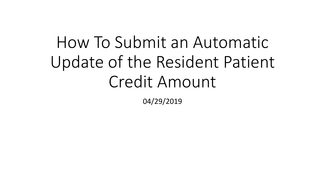# How To Submit an Automatic Update of the Resident Patient Credit Amount

04/29/2019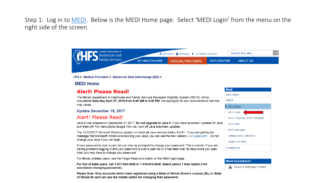Step 1: Log in to MEDI. Below is the MEDI Home page. Select 'MEDI Login' from the menu on the right side of the screen.



HFS > Medical Providers > Electronic Data Interchange (EDI) >

#### **MEDI Home**

## **Alert! Please Read!**

The Illinois Department of Healthcare and Family Services Recepient Eligibility System (REVS) will be unavailable Saturday April 27, 2019 from 6:00 AM to 4:00 PM. We apologize for any inconvenience that this may cause.

#### **Update December 18, 2017**

## Alert! Please Read!

Java 9 was released on September 21 2017. Do not upgrade to Java 9. If you have automatic updates for Java turn them off. For instructions Google 'How do I turn off Java automatic updates'.

The 12/12/2017 Microsoft Windows update will block all Java versions below 8u151. If you are getting the message that Microsoft Windows is blocking your Java, you can use the new version. www.java.com. Do not change your Java if you can login.

If your password is over a year old you may be prompted to change your password. This is normal. If you are having problems logging in and your password is over a year old or it has been over 90 days since you used Medi you may have to change your password.

For Illinois (Instate) users, use the Forgot Password button on the MEDI login page.

For Out of state users, call 1-217-524-3648 or 1-312-814-3648. Select option 1 then option 2 for assistance changing passwords.

Please Note: Only accounts which were registered using a State of Illinois Driver's License (DL) or State of Illinois ID card can use the Instate option for changing their password.

| <b>Medi</b>                            |  |  |  |  |  |  |  |
|----------------------------------------|--|--|--|--|--|--|--|
| <b>EDI Home</b>                        |  |  |  |  |  |  |  |
| <b>MFDI</b>                            |  |  |  |  |  |  |  |
| <b>MEDI Home</b>                       |  |  |  |  |  |  |  |
| <b>MEDI Login</b>                      |  |  |  |  |  |  |  |
| <b>MEDI Frequently Asked Questions</b> |  |  |  |  |  |  |  |
| <b>MEDI Help</b>                       |  |  |  |  |  |  |  |
| MEDI Help (pdf)                        |  |  |  |  |  |  |  |
| Getting Started with MEDI              |  |  |  |  |  |  |  |
| <b>Register for Medi</b>               |  |  |  |  |  |  |  |
| <b>Contact Us</b>                      |  |  |  |  |  |  |  |

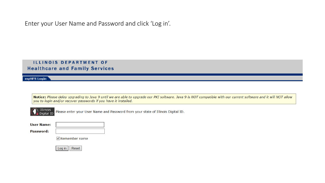Enter your User Name and Password and click 'Log in'.

### **ILLINOIS DEPARTMENT OF Healthcare and Family Services**

myHFS Login

Notice: Please delay upgrading to Java 9 until we are able to upgrade our PKI software. Java 9 is NOT compatible with our current software and it will NOT allow you to login and/or recover passwords if you have it installed.



Please enter your User Name and Password from your state of Illinois Digital ID.

| User Name: |  |
|------------|--|
| Password:  |  |

√ Remember name

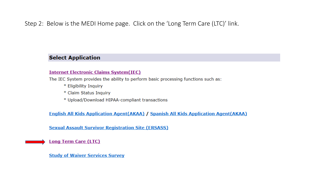Step 2: Below is the MEDI Home page. Click on the 'Long Term Care (LTC)' link.

# **Select Application**

#### **Internet Electronic Claims System(IEC)**

The IEC System provides the ability to perform basic processing functions such as:

- \* Eligibility Inquiry
- \* Claim Status Inquiry
- \* Upload/Download HIPAA-compliant transactions

**English All Kids Application Agent(AKAA) / Spanish All Kids Application Agent(AKAA)** 

**Sexual Assault Survivor Registration Site (ERSASS)** 

**Long Term Care (LTC)** 

**Study of Waiver Services Survey**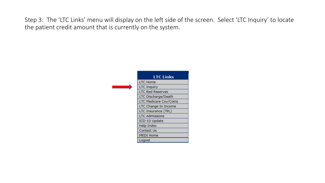Step 3: The 'LTC Links' menu will display on the left side of the screen. Select 'LTC Inquiry' to locate the patient credit amount that is currently on the system.

| <b>LTC Links</b>        |
|-------------------------|
| <b>LTC Home</b>         |
| <b>LTC Inquiry</b>      |
| <b>LTC Bed Reserves</b> |
| LTC Discharge/Death     |
| LTC Medicare Cov/Coins  |
| LTC Change In Income    |
| LTC Insurance (TPL)     |
| <b>LTC Admissions</b>   |
| ICD-10 Update           |
| <b>Help Index</b>       |
| Contact Us              |
| <b>MEDI Home</b>        |
| Logout                  |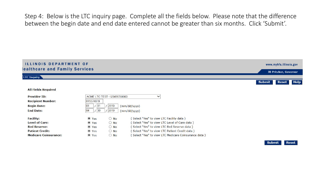Step 4: Below is the LTC inquiry page. Complete all the fields below. Please note that the difference between the begin date and end date entered cannot be greater than six months. Click 'Submit'.

| <b>ILLINOIS DEPARTMENT OF</b><br>lealthcare and Family Services |                                    |                             |                                                      |               | www.myhfs.illinois.gov       |             |  |  |
|-----------------------------------------------------------------|------------------------------------|-----------------------------|------------------------------------------------------|---------------|------------------------------|-------------|--|--|
|                                                                 |                                    |                             |                                                      |               | <b>JB Pritzker, Governor</b> |             |  |  |
| <b>LTC Inquiry</b>                                              |                                    |                             |                                                      |               |                              |             |  |  |
|                                                                 |                                    |                             |                                                      | <b>Submit</b> | Reset                        | <b>Help</b> |  |  |
| <b>All Fields Required</b>                                      |                                    |                             |                                                      |               |                              |             |  |  |
| <b>Provider ID:</b>                                             |                                    | ACME LTC TEST -123456789003 | $\checkmark$                                         |               |                              |             |  |  |
| <b>Recipient Number:</b>                                        | 015574619                          |                             |                                                      |               |                              |             |  |  |
| <b>Begin Date:</b>                                              | 2019<br>/ 01<br>01<br>(mm/dd/yyyy) |                             |                                                      |               |                              |             |  |  |
| <b>End Date:</b>                                                | 04<br>$ 30\rangle$                 |                             |                                                      |               |                              |             |  |  |
| <b>Facility:</b>                                                | $\odot$ Yes                        | $\bigcirc$ No               | ( Select "Yes" to view LTC Facility data )           |               |                              |             |  |  |
| <b>Level of Care:</b>                                           | ⊙ Yes                              | $\bigcirc$ No               | (Select "Yes" to view LTC Level of Care data)        |               |                              |             |  |  |
| <b>Bed Reserve:</b>                                             | ⊙ Yes                              | $\bigcirc$ No               | (Select "Yes" to view LTC Bed Reserve data)          |               |                              |             |  |  |
| <b>Patient Credit:</b>                                          | $\odot$ Yes                        | $\bigcirc$ No               | (Select "Yes" to view LTC Patient Credit data)       |               |                              |             |  |  |
| <b>Medicare Coinsurance:</b>                                    | $\odot$ Yes                        | $\bigcirc$ No               | (Select "Yes" to view LTC Medicare Coinsurance data) |               |                              |             |  |  |

**Reset Submit**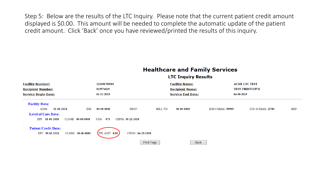Step 5: Below are the results of the LTC Inquiry. Please note that the current patient credit amount displayed is \$0.00. This amount will be needed to complete the automatic update of the patient credit amount. Click 'Back' once you have reviewed/printed the results of this inquiry.

# **Healthcare and Family Services**

#### **LTC Inquiry Results**

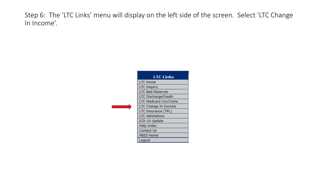Step 6: The 'LTC Links' menu will display on the left side of the screen. Select 'LTC Change In Income'.

| <b>LTC Links</b>              |
|-------------------------------|
| <b>LTC Home</b>               |
| <b>LTC Inquiry</b>            |
| <b>LTC Bed Reserves</b>       |
| LTC Discharge/Death           |
| <b>LTC Medicare Cov/Coins</b> |
| LTC Change In Income          |
| LTC Insurance (TPL)           |
| <b>LTC Admissions</b>         |
| ICD-10 Update                 |
| <b>Help Index</b>             |
| Contact Us                    |
| <b>MEDI Home</b>              |
| Logout                        |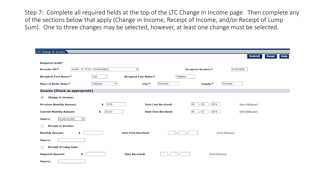Step 7: Complete all required fields at the top of the LTC Change In Income page. Then complete any of the sections below that apply (Change in Income, Receipt of Income, and/or Receipt of Lump Sum). One to three changes may be selected, however, at least one change must be selected.

| <b>LTC Change In Income</b>                                      |                                                            |                                       |
|------------------------------------------------------------------|------------------------------------------------------------|---------------------------------------|
|                                                                  |                                                            | Submit<br><b>Help</b><br><b>Reset</b> |
| <b>Required Fields*</b>                                          |                                                            |                                       |
| ACME LTC TEST -123456789003<br><b>Provider ID:*</b>              | <b>Recipient Number:*</b><br>$\checkmark$                  | 015574619                             |
| <b>Test</b><br><b>Recipient First Name:*</b>                     | Thirtyfive<br><b>Recipient Last Name:*</b>                 |                                       |
| <b>Place of Birth: State:*</b><br><b>Unknown</b><br>$\checkmark$ | Unknown<br>City:*<br>County:*                              | Unknown                               |
| Income (Check as appropriate)                                    |                                                            |                                       |
| <b>Change in Income:</b><br>$\blacktriangledown$                 |                                                            |                                       |
| 0.00<br><b>Previous Monthly Amount:</b><br>\$                    | 2019<br> 30<br><b>Date Last Received:</b><br>04            | (mm/dd/yyyy)                          |
| 100.00<br><b>Current Monthly Amount:</b><br>\$                   | 2019<br><b>Date First Received:</b><br>$ 05\rangle$<br> 01 | (mm/dd/yyyy)                          |
| social security<br>Source:<br>$\times$                           |                                                            |                                       |
| <b>Receipt of Income:</b>                                        |                                                            |                                       |
| <b>Monthly Amount:</b><br>\$                                     | <b>Date First Received:</b>                                | (mm/dd/yyyy)                          |
| Source:                                                          |                                                            |                                       |
| <b>Receipt of Lump Sum:</b>                                      |                                                            |                                       |
| <b>Payment Amount:</b><br>\$                                     | <b>Date Received:</b>                                      | (mm/dd/yyyy)                          |
| Source:                                                          |                                                            |                                       |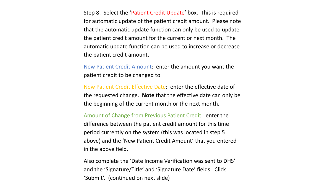Step 8: Select the 'Patient Credit Update' box. This is required for automatic update of the patient credit amount. Please note that the automatic update function can only be used to update the patient credit amount for the current or next month. The automatic update function can be used to increase or decrease the patient credit amount.

New Patient Credit Amount: enter the amount you want the patient credit to be changed to

New Patient Credit Effective Date: enter the effective date of the requested change. **Note** that the effective date can only be the beginning of the current month or the next month.

Amount of Change from Previous Patient Credit: enter the difference between the patient credit amount for this time period currently on the system (this was located in step 5 above) and the 'New Patient Credit Amount' that you entered in the above field.

Also complete the 'Date Income Verification was sent to DHS' and the 'Signature/Title' and 'Signature Date' fields. Click 'Submit'. (continued on next slide)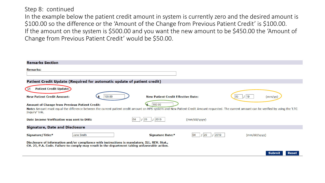# Step 8: continued

In the example below the patient credit amount in system is currently zero and the desired amount is \$100.00 so the difference or the 'Amount of the Change from Previous Patient Credit' is \$100.00. If the amount on the system is \$500.00 and you want the new amount to be \$450.00 the 'Amount of Change from Previous Patient Credit' would be \$50.00.

| <b>Remarks Section</b>                                                                                                                                                                                                                                                  |                                           |                  |                     |
|-------------------------------------------------------------------------------------------------------------------------------------------------------------------------------------------------------------------------------------------------------------------------|-------------------------------------------|------------------|---------------------|
| <b>Remarks:</b>                                                                                                                                                                                                                                                         |                                           |                  |                     |
| Patient Credit Update (Required for automatic update of patient credit)                                                                                                                                                                                                 |                                           |                  |                     |
| <b>Patient Credit Update:</b><br>$\sqrt{2}$                                                                                                                                                                                                                             |                                           |                  |                     |
| <b>New Patient Credit Amount:</b><br>100.00                                                                                                                                                                                                                             | <b>New Patient Credit Effective Date:</b> |                  | 19<br>05<br>(mm/yy) |
| <b>Amount of Change from Previous Patient Credit:</b><br>Note: Amount must equal the difference between the current patient credit amount on HFS system and New Patient Credit Amount requested. The current amount can be verified by using the 'LTC<br>Inquiry' link. | 100.00                                    |                  |                     |
| Date Income Verification was sent to DHS:                                                                                                                                                                                                                               | 2019<br>$ 29\rangle$<br>104               | (mm/dd/yyyy)     |                     |
| <b>Signature, Date and Disclosure</b>                                                                                                                                                                                                                                   |                                           |                  |                     |
| Jane Smith<br><b>Signature/Title:*</b>                                                                                                                                                                                                                                  | <b>Signature Date:*</b>                   | 29<br>2019<br>04 | (mm/dd/yyyy)        |
| Disclosure of information and/or compliance with instructions is mandatory, ILL. REV. Stat.,<br>CH. 23, P.A. Code. Failure to comply may result in the department taking unfavorable action.                                                                            |                                           |                  |                     |
|                                                                                                                                                                                                                                                                         |                                           |                  | Submit<br>Reset     |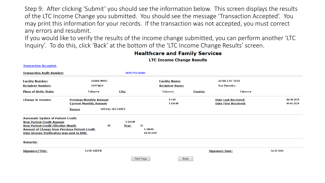Step 9: After clicking 'Submit' you should see the information below. This screen displays the results of the LTC Income Change you submitted. You should see the message 'Transaction Accepted'. You may print this information for your records. If the transaction was not accepted, you must correct any errors and resubmit.

If you would like to verify the results of the income change submitted, you can perform another 'LTC Inquiry'. To do this, click 'Back' at the bottom of the 'LTC Income Change Results' screen.

# **Healthcare and Family Services**

**LTC Income Change Results** 

| <b>Transaction Audit Number:</b>                                                                 |                                |                        | 201911911341491        |                             |            |
|--------------------------------------------------------------------------------------------------|--------------------------------|------------------------|------------------------|-----------------------------|------------|
| <b>Facility Number:</b>                                                                          | 123456789003                   |                        | <b>Facility Name:</b>  | <b>ACME LTC TEST</b>        |            |
| <b>Recipient Number:</b>                                                                         | 015574619                      |                        | <b>Recipient Name:</b> | <b>Test Thirtyfive</b>      |            |
| <b>Place of Birth: State:</b>                                                                    | Unknown                        | City:                  | <b>Unknown</b>         | <b>County:</b>              | Unknown    |
| <b>Change in Income:</b>                                                                         | <b>Previous Monthly Amount</b> |                        | \$0.00                 | <b>Date Last Received:</b>  | 04-30-2019 |
|                                                                                                  | <b>Current Monthly Amount</b>  |                        | \$100.00               | <b>Date First Received:</b> | 05-01-2019 |
|                                                                                                  | <b>Source</b>                  | <b>SOCIAL SECURITY</b> |                        |                             |            |
| <b>Automatic Update of Patient Credit:</b>                                                       |                                |                        |                        |                             |            |
| <b>New Patient Credit Amount</b>                                                                 |                                | \$100.00               |                        |                             |            |
| <b>New Patient Credit Effective Month</b>                                                        | 05                             | 19<br><u>Year</u>      | \$100.00               |                             |            |
| <b>Amount of Change from Previous Patient Credit</b><br>Date Income Verification was sent to DHS |                                |                        | 04-29-2019             |                             |            |
| <b>Remarks:</b>                                                                                  |                                |                        |                        |                             |            |
| <b>Signature/Title:</b>                                                                          | <b>JANE SMITH</b>              |                        |                        | <b>Signature Date:</b>      | 04-29-2019 |
|                                                                                                  |                                | Print Page             | <b>Back</b>            |                             |            |

#### **Transaction Accepted.**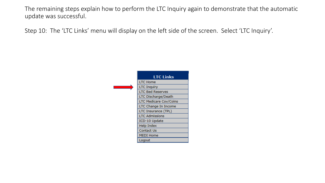The remaining steps explain how to perform the LTC Inquiry again to demonstrate that the automatic update was successful.

Step 10: The 'LTC Links' menu will display on the left side of the screen. Select 'LTC Inquiry'.

| <b>LTC Links</b>              |
|-------------------------------|
| <b>LTC Home</b>               |
| <b>LTC Inquiry</b>            |
| <b>LTC Bed Reserves</b>       |
| LTC Discharge/Death           |
| <b>LTC Medicare Cov/Coins</b> |
| LTC Change In Income          |
| LTC Insurance (TPL)           |
| <b>LTC Admissions</b>         |
| ICD-10 Update                 |
| <b>Help Index</b>             |
| Contact Us                    |
| <b>MEDI Home</b>              |
| Logout                        |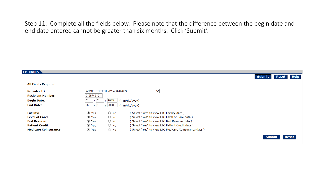Step 11: Complete all the fields below. Please note that the difference between the begin date and end date entered cannot be greater than six months. Click 'Submit'.

| <b>LTC Inquiry</b>           |             |                             |                                                      | <b>Submit</b> | <b>Reset</b> | <b>Help</b> |
|------------------------------|-------------|-----------------------------|------------------------------------------------------|---------------|--------------|-------------|
| <b>All Fields Required</b>   |             |                             |                                                      |               |              |             |
| <b>Provider ID:</b>          |             | ACME LTC TEST -123456789003 | $\checkmark$                                         |               |              |             |
| <b>Recipient Number:</b>     | 015574619   |                             |                                                      |               |              |             |
| <b>Begin Date:</b>           | 01<br> 01   | 2019                        | (mm/dd/yyyy)                                         |               |              |             |
| <b>End Date:</b>             | 05<br> 31   | 2019                        | (mm/dd/yyyy)                                         |               |              |             |
| <b>Facility:</b>             | ⊙ Yes       | $\bigcirc$ No               | ( Select "Yes" to view LTC Facility data )           |               |              |             |
| <b>Level of Care:</b>        | $\odot$ Yes | $\bigcirc$ No               | (Select "Yes" to view LTC Level of Care data)        |               |              |             |
| <b>Bed Reserve:</b>          | ⊙ Yes       | $\bigcirc$ No               | (Select "Yes" to view LTC Bed Reserve data)          |               |              |             |
| <b>Patient Credit:</b>       | $\odot$ Yes | $\bigcirc$ No               | (Select "Yes" to view LTC Patient Credit data)       |               |              |             |
| <b>Medicare Coinsurance:</b> | $\odot$ Yes | $\bigcirc$ No               | (Select "Yes" to view LTC Medicare Coinsurance data) |               |              |             |
|                              |             |                             |                                                      |               | Cubmit Docot |             |